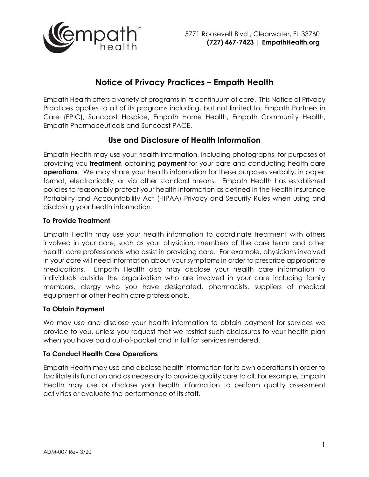

# **Notice of Privacy Practices – Empath Health**

Empath Health offers a variety of programs in its continuum of care. This Notice of Privacy Practices applies to all of its programs including, but not limited to, Empath Partners in Care (EPIC), Suncoast Hospice, Empath Home Health, Empath Community Health, Empath Pharmaceuticals and Suncoast PACE.

## **Use and Disclosure of Health Information**

Empath Health may use your health information, including photographs, for purposes of providing you **treatment**, obtaining **payment** for your care and conducting health care **operations**. We may share your health information for these purposes verbally, in paper format, electronically, or via other standard means. Empath Health has established policies to reasonably protect your health information as defined in the Health Insurance Portability and Accountability Act (HIPAA) Privacy and Security Rules when using and disclosing your health information.

## **To Provide Treatment**

Empath Health may use your health information to coordinate treatment with others involved in your care, such as your physician, members of the care team and other health care professionals who assist in providing care. For example, physicians involved in your care will need information about your symptoms in order to prescribe appropriate medications. Empath Health also may disclose your health care information to individuals outside the organization who are involved in your care including family members, clergy who you have designated, pharmacists, suppliers of medical equipment or other health care professionals.

## **To Obtain Payment**

We may use and disclose your health information to obtain payment for services we provide to you, unless you request that we restrict such disclosures to your health plan when you have paid out-of-pocket and in full for services rendered.

#### **To Conduct Health Care Operations**

Empath Health may use and disclose health information for its own operations in order to facilitate its function and as necessary to provide quality care to all. For example, Empath Health may use or disclose your health information to perform quality assessment activities or evaluate the performance of its staff.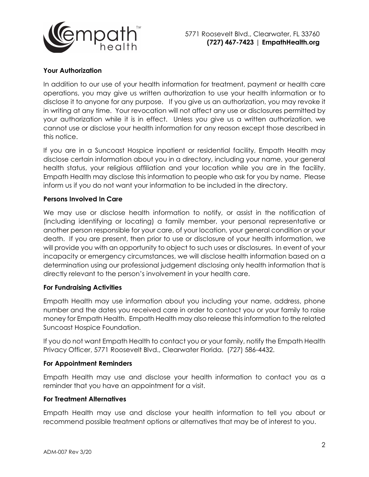

## **Your Authorization**

In addition to our use of your health information for treatment, payment or health care operations, you may give us written authorization to use your health information or to disclose it to anyone for any purpose. If you give us an authorization, you may revoke it in writing at any time. Your revocation will not affect any use or disclosures permitted by your authorization while it is in effect. Unless you give us a written authorization, we cannot use or disclose your health information for any reason except those described in this notice.

If you are in a Suncoast Hospice inpatient or residential facility, Empath Health may disclose certain information about you in a directory, including your name, your general health status, your religious affiliation and your location while you are in the facility. Empath Health may disclose this information to people who ask for you by name. Please inform us if you do not want your information to be included in the directory.

## **Persons Involved In Care**

We may use or disclose health information to notify, or assist in the notification of (including identifying or locating) a family member, your personal representative or another person responsible for your care, of your location, your general condition or your death. If you are present, then prior to use or disclosure of your health information, we will provide you with an opportunity to object to such uses or disclosures. In event of your incapacity or emergency circumstances, we will disclose health information based on a determination using our professional judgement disclosing only health information that is directly relevant to the person's involvement in your health care.

#### **For Fundraising Activities**

Empath Health may use information about you including your name, address, phone number and the dates you received care in order to contact you or your family to raise money for Empath Health. Empath Health may also release this information to the related Suncoast Hospice Foundation.

If you do not want Empath Health to contact you or your family, notify the Empath Health Privacy Officer, 5771 Roosevelt Blvd., Clearwater Florida. (727) 586-4432.

#### **For Appointment Reminders**

Empath Health may use and disclose your health information to contact you as a reminder that you have an appointment for a visit.

#### **For Treatment Alternatives**

Empath Health may use and disclose your health information to tell you about or recommend possible treatment options or alternatives that may be of interest to you.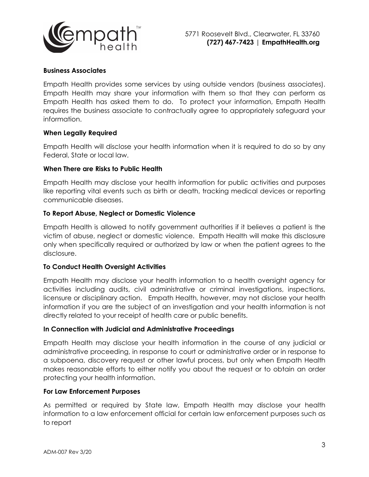

### **Business Associates**

Empath Health provides some services by using outside vendors (business associates). Empath Health may share your information with them so that they can perform as Empath Health has asked them to do. To protect your information, Empath Health requires the business associate to contractually agree to appropriately safeguard your information.

#### **When Legally Required**

Empath Health will disclose your health information when it is required to do so by any Federal, State or local law.

#### **When There are Risks to Public Health**

Empath Health may disclose your health information for public activities and purposes like reporting vital events such as birth or death, tracking medical devices or reporting communicable diseases.

#### **To Report Abuse, Neglect or Domestic Violence**

Empath Health is allowed to notify government authorities if it believes a patient is the victim of abuse, neglect or domestic violence. Empath Health will make this disclosure only when specifically required or authorized by law or when the patient agrees to the disclosure.

#### **To Conduct Health Oversight Activities**

Empath Health may disclose your health information to a health oversight agency for activities including audits, civil administrative or criminal investigations, inspections, licensure or disciplinary action. Empath Health, however, may not disclose your health information if you are the subject of an investigation and your health information is not directly related to your receipt of health care or public benefits.

#### **In Connection with Judicial and Administrative Proceedings**

Empath Health may disclose your health information in the course of any judicial or administrative proceeding, in response to court or administrative order or in response to a subpoena, discovery request or other lawful process, but only when Empath Health makes reasonable efforts to either notify you about the request or to obtain an order protecting your health information.

#### **For Law Enforcement Purposes**

As permitted or required by State law, Empath Health may disclose your health information to a law enforcement official for certain law enforcement purposes such as to report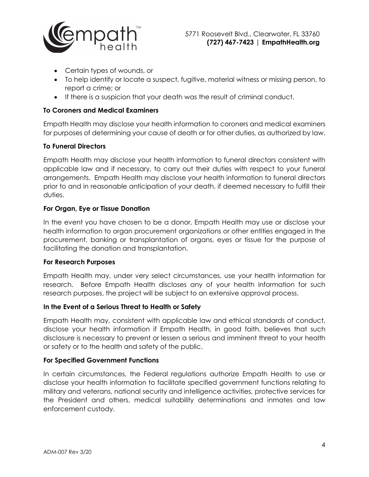

- Certain types of wounds, or
- To help identify or locate a suspect, fugitive, material witness or missing person, to report a crime; or
- If there is a suspicion that your death was the result of criminal conduct.

### **To Coroners and Medical Examiners**

Empath Health may disclose your health information to coroners and medical examiners for purposes of determining your cause of death or for other duties, as authorized by law.

#### **To Funeral Directors**

Empath Health may disclose your health information to funeral directors consistent with applicable law and if necessary, to carry out their duties with respect to your funeral arrangements. Empath Health may disclose your health information to funeral directors prior to and in reasonable anticipation of your death, if deemed necessary to fulfill their duties.

#### **For Organ, Eye or Tissue Donation**

In the event you have chosen to be a donor, Empath Health may use or disclose your health information to organ procurement organizations or other entities engaged in the procurement, banking or transplantation of organs, eyes or tissue for the purpose of facilitating the donation and transplantation.

#### **For Research Purposes**

Empath Health may, under very select circumstances, use your health information for research. Before Empath Health discloses any of your health information for such research purposes, the project will be subject to an extensive approval process.

#### **In the Event of a Serious Threat to Health or Safety**

Empath Health may, consistent with applicable law and ethical standards of conduct, disclose your health information if Empath Health, in good faith, believes that such disclosure is necessary to prevent or lessen a serious and imminent threat to your health or safety or to the health and safety of the public.

#### **For Specified Government Functions**

In certain circumstances, the Federal regulations authorize Empath Health to use or disclose your health information to facilitate specified government functions relating to military and veterans, national security and intelligence activities, protective services for the President and others, medical suitability determinations and inmates and law enforcement custody.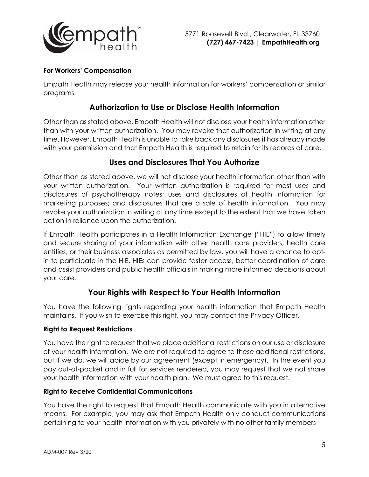

## **For Workers' Compensation**

Empath Health may release your health information for workers' compensation or similar programs.

## **Authorization to Use or Disclose Health Information**

Other than as stated above, Empath Health will not disclose your health information other than with your written authorization. You may revoke that authorization in writing at any time. However, Empath Health is unable to take back any disclosures it has already made with your permission and that Empath Health is required to retain for its records of care.

## **Uses and Disclosures That You Authorize**

Other than as stated above, we will not disclose your health information other than with your written authorization. Your written authorization is required for most uses and disclosures of psychotherapy notes; uses and disclosures of health information for marketing purposes; and disclosures that are a sale of health information. You may revoke your authorization in writing at any time except to the extent that we have taken action in reliance upon the authorization.

If Empath Health participates in a Health Information Exchange ("HIE") to allow timely and secure sharing of your information with other health care providers, health care entities, or their business associates as permitted by law, you will have a chance to optin to participate in the HIE. HIEs can provide faster access, better coordination of care and assist providers and public health officials in making more informed decisions about your care.

## **Your Rights with Respect to Your Health Information**

You have the following rights regarding your health information that Empath Health maintains. If you wish to exercise this right, you may contact the Privacy Officer.

## **Right to Request Restrictions**

You have the right to request that we place additional restrictions on our use or disclosure of your health information. We are not required to agree to these additional restrictions, but if we do, we will abide by our agreement (except in emergency). In the event you pay out-of-pocket and in full for services rendered, you may request that we not share your health information with your health plan. We must agree to this request.

## **Right to Receive Confidential Communications**

You have the right to request that Empath Health communicate with you in alternative means. For example, you may ask that Empath Health only conduct communications pertaining to your health information with you privately with no other family members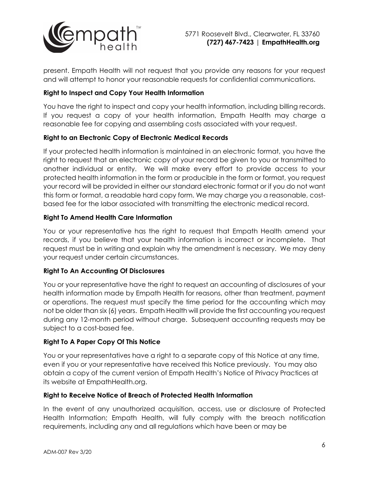

present. Empath Health will not request that you provide any reasons for your request and will attempt to honor your reasonable requests for confidential communications.

## **Right to Inspect and Copy Your Health Information**

You have the right to inspect and copy your health information, including billing records. If you request a copy of your health information, Empath Health may charge a reasonable fee for copying and assembling costs associated with your request.

## **Right to an Electronic Copy of Electronic Medical Records**

If your protected health information is maintained in an electronic format, you have the right to request that an electronic copy of your record be given to you or transmitted to another individual or entity. We will make every effort to provide access to your protected health information in the form or producible in the form or format, you request your record will be provided in either our standard electronic format or if you do not want this form or format, a readable hard copy form. We may charge you a reasonable, costbased fee for the labor associated with transmitting the electronic medical record.

#### **Right To Amend Health Care Information**

You or your representative has the right to request that Empath Health amend your records, if you believe that your health information is incorrect or incomplete. That request must be in writing and explain why the amendment is necessary. We may deny your request under certain circumstances.

## **Right To An Accounting Of Disclosures**

You or your representative have the right to request an accounting of disclosures of your health information made by Empath Health for reasons, other than treatment, payment or operations. The request must specify the time period for the accounting which may not be older than six (6) years. Empath Health will provide the first accounting you request during any 12-month period without charge. Subsequent accounting requests may be subject to a cost-based fee.

## **Right To A Paper Copy Of This Notice**

You or your representatives have a right to a separate copy of this Notice at any time, even if you or your representative have received this Notice previously. You may also obtain a copy of the current version of Empath Health's Notice of Privacy Practices at its website at EmpathHealth.org.

#### **Right to Receive Notice of Breach of Protected Health Information**

In the event of any unauthorized acquisition, access, use or disclosure of Protected Health Information; Empath Health, will fully comply with the breach notification requirements, including any and all regulations which have been or may be